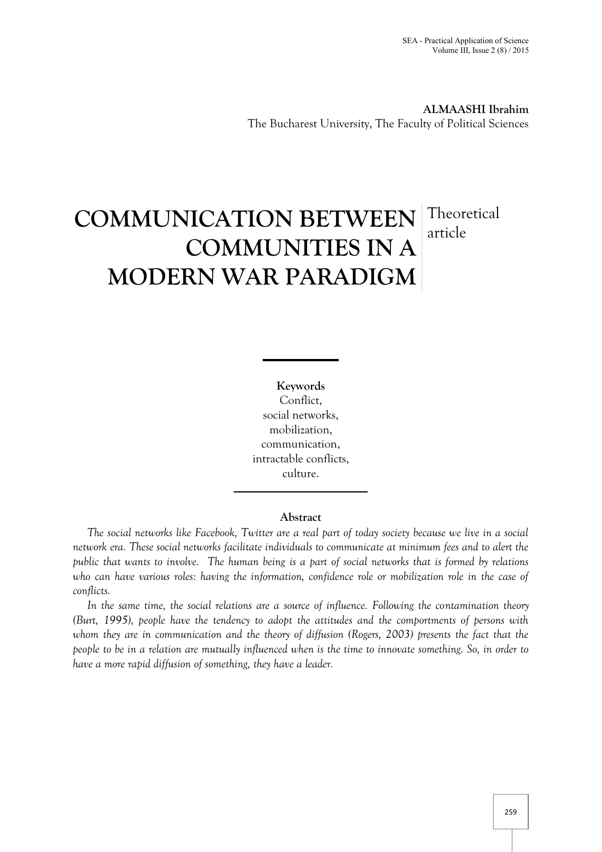**ALMAASHI Ibrahim** The Bucharest University, The Faculty of Political Sciences

# **COMMUNICATION BETWEEN** Theoretical **COMMUNITIES IN A MODERN WAR PARADIGM** article

**Keywords** Conflict, social networks, mobilization, communication, intractable conflicts, culture.

# **Abstract**

*The social networks like Facebook, Twitter are a real part of today society because we live in a social network era. These social networks facilitate individuals to communicate at minimum fees and to alert the public that wants to involve. The human being is a part of social networks that is formed by relations who can have various roles: having the information, confidence role or mobilization role in the case of conflicts.*

*In the same time, the social relations are a source of influence. Following the contamination theory (Burt, 1995), people have the tendency to adopt the attitudes and the comportments of persons with whom they are in communication and the theory of diffusion (Rogers, 2003) presents the fact that the people to be in a relation are mutually influenced when is the time to innovate something. So, in order to have a more rapid diffusion of something, they have a leader.*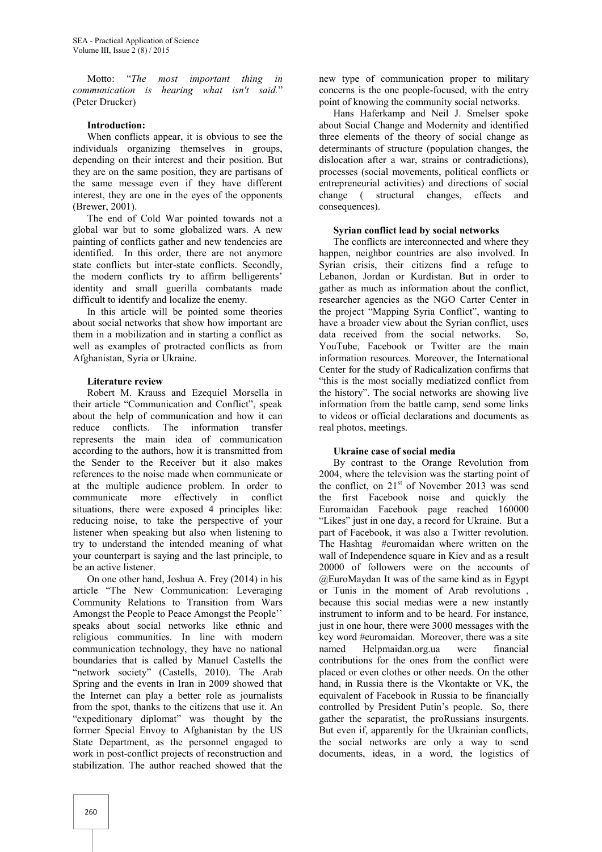Motto: "*The most important thing in communication is hearing what isn't said.*" (Peter Drucker)

#### **Introduction:**

When conflicts appear, it is obvious to see the individuals organizing themselves in groups, depending on their interest and their position. But they are on the same position, they are partisans of the same message even if they have different interest, they are one in the eyes of the opponents (Brewer, 2001).

The end of Cold War pointed towards not a global war but to some globalized wars. A new painting of conflicts gather and new tendencies are identified. In this order, there are not anymore state conflicts but inter-state conflicts. Secondly, the modern conflicts try to affirm belligerents' identity and small guerilla combatants made difficult to identify and localize the enemy.

In this article will be pointed some theories about social networks that show how important are them in a mobilization and in starting a conflict as well as examples of protracted conflicts as from Afghanistan, Syria or Ukraine.

## **Literature review**

Robert M. Krauss and Ezequiel Morsella in their article "Communication and Conflict", speak about the help of communication and how it can reduce conflicts. The information transfer represents the main idea of communication according to the authors, how it is transmitted from the Sender to the Receiver but it also makes references to the noise made when communicate or at the multiple audience problem. In order to communicate more effectively in conflict situations, there were exposed 4 principles like: reducing noise, to take the perspective of your listener when speaking but also when listening to try to understand the intended meaning of what your counterpart is saying and the last principle, to be an active listener.

On one other hand, Joshua A. Frey (2014) in his article "The New Communication: Leveraging Community Relations to Transition from Wars Amongst the People to Peace Amongst the People'' speaks about social networks like ethnic and religious communities. In line with modern communication technology, they have no national boundaries that is called by Manuel Castells the "network society" (Castells, 2010). The Arab Spring and the events in Iran in 2009 showed that the Internet can play a better role as journalists from the spot, thanks to the citizens that use it. An "expeditionary diplomat" was thought by the former Special Envoy to Afghanistan by the US State Department, as the personnel engaged to work in post-conflict projects of reconstruction and stabilization. The author reached showed that the

new type of communication proper to military concerns is the one people-focused, with the entry point of knowing the community social networks.

Hans Haferkamp and Neil J. Smelser spoke about Social Change and Modernity and identified three elements of the theory of social change as determinants of structure (population changes, the dislocation after a war, strains or contradictions), processes (social movements, political conflicts or entrepreneurial activities) and directions of social change ( structural changes, effects and consequences).

# **Syrian conflict lead by social networks**

The conflicts are interconnected and where they happen, neighbor countries are also involved. In Syrian crisis, their citizens find a refuge to Lebanon, Jordan or Kurdistan. But in order to gather as much as information about the conflict, researcher agencies as the NGO Carter Center in the project "Mapping Syria Conflict", wanting to have a broader view about the Syrian conflict, uses data received from the social networks. So, YouTube, Facebook or Twitter are the main information resources. Moreover, the International Center for the study of Radicalization confirms that "this is the most socially mediatized conflict from the history". The social networks are showing live information from the battle camp, send some links to videos or official declarations and documents as real photos, meetings.

# **Ukraine case of social media**

By contrast to the Orange Revolution from 2004, where the television was the starting point of the conflict, on  $21<sup>st</sup>$  of November 2013 was send the first Facebook noise and quickly the Euromaidan Facebook page reached 160000 "Likes" just in one day, a record for Ukraine. But a part of Facebook, it was also a Twitter revolution. The Hashtag #euromaidan where written on the wall of Independence square in Kiev and as a result 20000 of followers were on the accounts of @EuroMaydan It was of the same kind as in Egypt or Tunis in the moment of Arab revolutions , because this social medias were a new instantly instrument to inform and to be heard. For instance, just in one hour, there were 3000 messages with the key word #euromaidan. Moreover, there was a site named Helpmaidan.org.ua were financial contributions for the ones from the conflict were placed or even clothes or other needs. On the other hand, in Russia there is the Vkontakte or VK, the equivalent of Facebook in Russia to be financially controlled by President Putin's people. So, there gather the separatist, the proRussians insurgents. But even if, apparently for the Ukrainian conflicts, the social networks are only a way to send documents, ideas, in a word, the logistics of